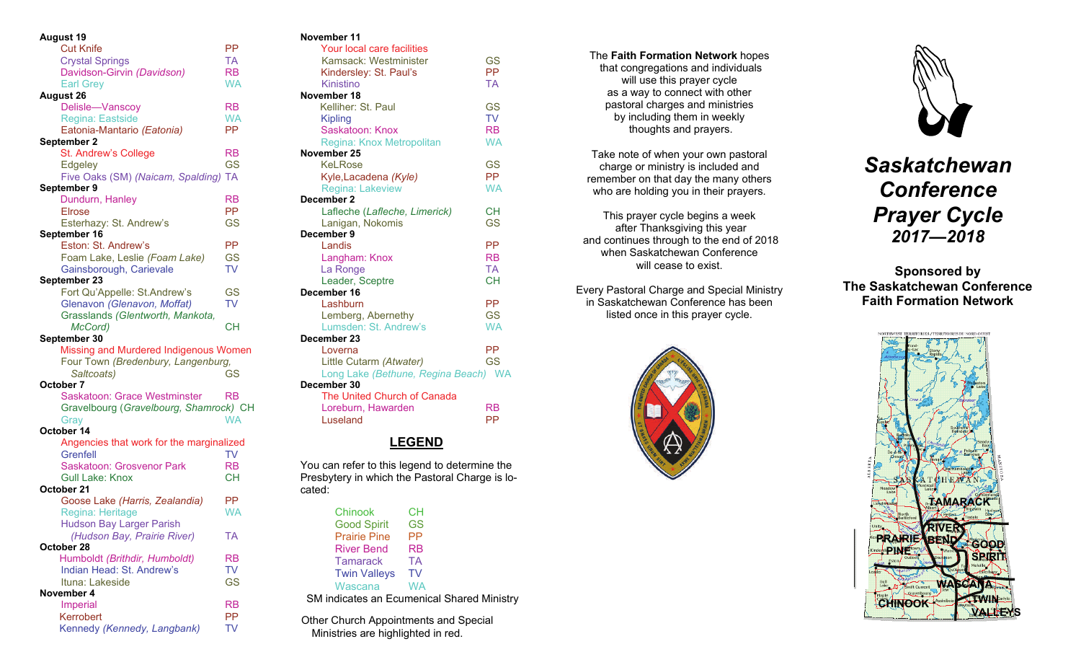| <b>August 19</b>                          |           |
|-------------------------------------------|-----------|
| <b>Cut Knife</b>                          | РP        |
| <b>Crystal Springs</b>                    | TA        |
| Davidson-Girvin (Davidson)                | RB        |
| <b>Earl Grey</b>                          | WA        |
| <b>August 26</b>                          |           |
| Delisle-Vanscoy                           | <b>RB</b> |
| Regina: Eastside                          | <b>WA</b> |
| Eatonia-Mantario (Eatonia)                | <b>PP</b> |
| September 2                               |           |
| St. Andrew's College                      | <b>RB</b> |
| Edgeley                                   | GS        |
| Five Oaks (SM) (Naicam, Spalding)         | <b>TA</b> |
| September 9                               |           |
| Dundurn, Hanley                           | <b>RB</b> |
| Elrose                                    | <b>PP</b> |
| Esterhazy: St. Andrew's                   | <b>GS</b> |
| September 16                              |           |
| Eston: St. Andrew's                       | PP        |
| Foam Lake, Leslie (Foam Lake)             | <b>GS</b> |
| Gainsborough, Carievale                   | <b>TV</b> |
| September 23                              |           |
| Fort Qu'Appelle: St.Andrew's              | <b>GS</b> |
| Glenavon (Glenavon, Moffat)               | <b>TV</b> |
| Grasslands (Glentworth, Mankota,          |           |
| McCord)                                   | CН        |
|                                           |           |
|                                           |           |
| September 30                              |           |
| Missing and Murdered Indigenous Women     |           |
| Four Town (Bredenbury, Langenburg,        |           |
| Saltcoats)                                | <b>GS</b> |
| October 7                                 |           |
| Saskatoon: Grace Westminster              | RB        |
| Gravelbourg (Gravelbourg, Shamrock) CH    |           |
| Gray                                      | <b>WA</b> |
| October 14                                |           |
| Angencies that work for the marginalized  |           |
| Grenfell                                  | <b>TV</b> |
| Saskatoon: Grosvenor Park                 | <b>RB</b> |
| <b>Gull Lake: Knox</b><br>October 21      | <b>CH</b> |
|                                           | РP        |
| Goose Lake (Harris, Zealandia)            | WA        |
| Regina: Heritage                          |           |
| <b>Hudson Bay Larger Parish</b>           | TA        |
| (Hudson Bay, Prairie River)<br>October 28 |           |
| Humboldt (Brithdir, Humboldt)             | <b>RB</b> |
| Indian Head: St. Andrew's                 | <b>TV</b> |
| Ituna: Lakeside                           | <b>GS</b> |
| November 4                                |           |
| <b>Imperial</b>                           | RB        |
| Kerrobert                                 | PP        |

## **November 11**

| Your local care facilities           |           |
|--------------------------------------|-----------|
| Kamsack: Westminister                | GS        |
| Kindersley: St. Paul's               | <b>PP</b> |
| Kinistino                            | <b>TA</b> |
| November 18                          |           |
| Kelliher: St. Paul                   | GS        |
| Kipling                              | <b>TV</b> |
| Saskatoon: Knox                      | <b>RB</b> |
| Regina: Knox Metropolitan            | <b>WA</b> |
| November 25                          |           |
| KeLRose                              | GS        |
| Kyle, Lacadena (Kyle)                | <b>PP</b> |
| Regina: Lakeview                     | <b>WA</b> |
| December 2                           |           |
| Lafleche (Lafleche, Limerick)        | <b>CH</b> |
| Lanigan, Nokomis                     | GS        |
| December 9                           |           |
| Landis                               | РP        |
| Langham: Knox                        | <b>RB</b> |
| La Ronge                             | <b>TA</b> |
| Leader, Sceptre                      | <b>CH</b> |
| December 16                          |           |
| Lashburn                             | PP        |
| Lemberg, Abernethy                   | <b>GS</b> |
| Lumsden: St. Andrew's                | <b>WA</b> |
| December 23                          |           |
| Loverna                              | РP        |
| Little Cutarm (Atwater)              | <b>GS</b> |
| Long Lake (Bethune, Regina Beach) WA |           |
| December 30                          |           |
| The United Church of Canada          |           |
| Loreburn, Hawarden                   | RB        |
| Luseland                             | PP        |

# **LEGEND**

You can refer to this legend to determine the Presbytery in which the Pastoral Charge is located:

| Chinook             | CН                                         |
|---------------------|--------------------------------------------|
| <b>Good Spirit</b>  | GS                                         |
| <b>Prairie Pine</b> | РP                                         |
| <b>River Bend</b>   | RB                                         |
| <b>Tamarack</b>     | ТA                                         |
| <b>Twin Valleys</b> | TV                                         |
| Wascana             | WA                                         |
|                     | SM indicates an Ecumenical Shared Ministry |

Other Church Appointments and Special Ministries are highlighted in red.

The **Faith Formation Network** hopes that congregations and individuals will use this prayer cycle as a way to connect with other pastoral charges and ministries by including them in weekly thoughts and prayers.

Take note of when your own pastoral charge or ministry is included and remember on that day the many others who are holding you in their prayers.

This prayer cycle begins a week after Thanksgiving this year and continues through to the end of 2018 when Saskatchewan Conference will cease to exist.

Every Pastoral Charge and Special Ministry in Saskatchewan Conference has been listed once in this prayer cycle.





*Saskatchewan Conference Prayer Cycle 2017—2018* 

**Sponsored by The Saskatchewan Conference Faith Formation Network**